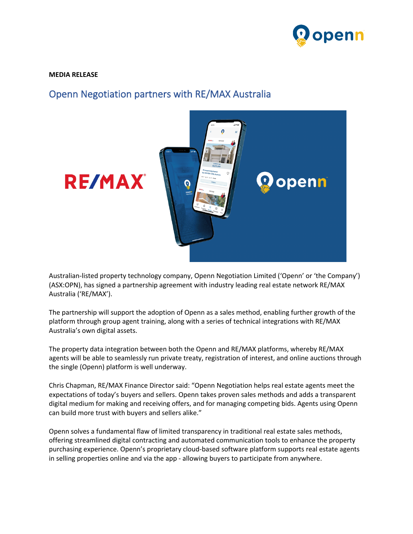

## **MEDIA RELEASE**

## Openn Negotiation partners with RE/MAX Australia



Australian-listed property technology company, Openn Negotiation Limited ('Openn' or 'the Company') (ASX:OPN), has signed a partnership agreement with industry leading real estate network RE/MAX Australia ('RE/MAX').

The partnership will support the adoption of Openn as a sales method, enabling further growth of the platform through group agent training, along with a series of technical integrations with RE/MAX Australia's own digital assets.

The property data integration between both the Openn and RE/MAX platforms, whereby RE/MAX agents will be able to seamlessly run private treaty, registration of interest, and online auctions through the single (Openn) platform is well underway.

Chris Chapman, RE/MAX Finance Director said: "Openn Negotiation helps real estate agents meet the expectations of today's buyers and sellers. Openn takes proven sales methods and adds a transparent digital medium for making and receiving offers, and for managing competing bids. Agents using Openn can build more trust with buyers and sellers alike."

Openn solves a fundamental flaw of limited transparency in traditional real estate sales methods, offering streamlined digital contracting and automated communication tools to enhance the property purchasing experience. Openn's proprietary cloud-based software platform supports real estate agents in selling properties online and via the app - allowing buyers to participate from anywhere.